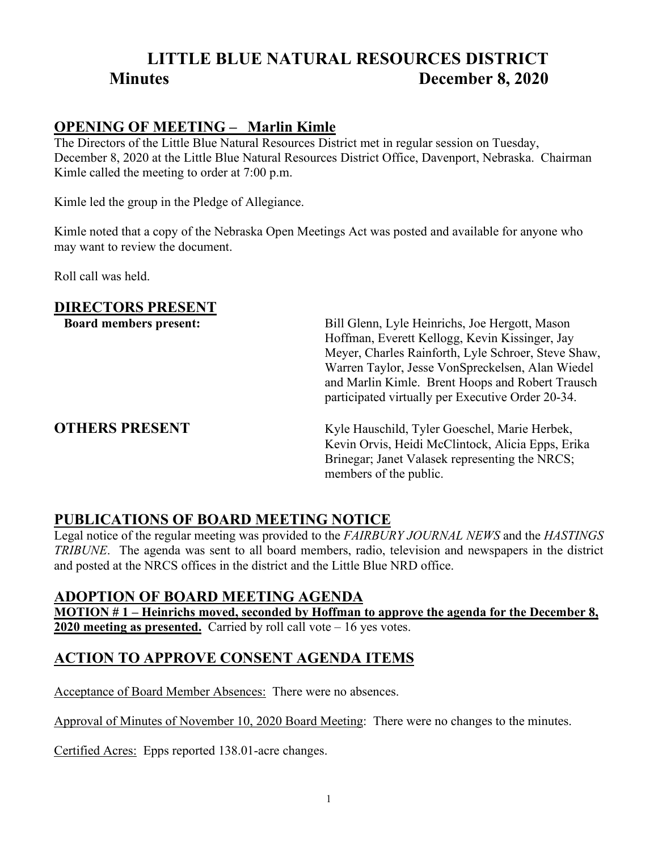# **LITTLE BLUE NATURAL RESOURCES DISTRICT Minutes December 8, 2020**

#### **OPENING OF MEETING – Marlin Kimle**

The Directors of the Little Blue Natural Resources District met in regular session on Tuesday, December 8, 2020 at the Little Blue Natural Resources District Office, Davenport, Nebraska. Chairman Kimle called the meeting to order at 7:00 p.m.

Kimle led the group in the Pledge of Allegiance.

Kimle noted that a copy of the Nebraska Open Meetings Act was posted and available for anyone who may want to review the document.

Roll call was held.

#### **DIRECTORS PRESENT**

**Board members present:** Bill Glenn, Lyle Heinrichs, Joe Hergott, Mason Hoffman, Everett Kellogg, Kevin Kissinger, Jay Meyer, Charles Rainforth, Lyle Schroer, Steve Shaw, Warren Taylor, Jesse VonSpreckelsen, Alan Wiedel and Marlin Kimle. Brent Hoops and Robert Trausch participated virtually per Executive Order 20-34.

**OTHERS PRESENT** Kyle Hauschild, Tyler Goeschel, Marie Herbek, Kevin Orvis, Heidi McClintock, Alicia Epps, Erika Brinegar; Janet Valasek representing the NRCS; members of the public.

## **PUBLICATIONS OF BOARD MEETING NOTICE**

Legal notice of the regular meeting was provided to the *FAIRBURY JOURNAL NEWS* and the *HASTINGS TRIBUNE*. The agenda was sent to all board members, radio, television and newspapers in the district and posted at the NRCS offices in the district and the Little Blue NRD office.

#### **ADOPTION OF BOARD MEETING AGENDA**

**MOTION # 1 – Heinrichs moved, seconded by Hoffman to approve the agenda for the December 8, 2020 meeting as presented.** Carried by roll call vote – 16 yes votes.

## **ACTION TO APPROVE CONSENT AGENDA ITEMS**

Acceptance of Board Member Absences: There were no absences.

Approval of Minutes of November 10, 2020 Board Meeting: There were no changes to the minutes.

Certified Acres: Epps reported 138.01-acre changes.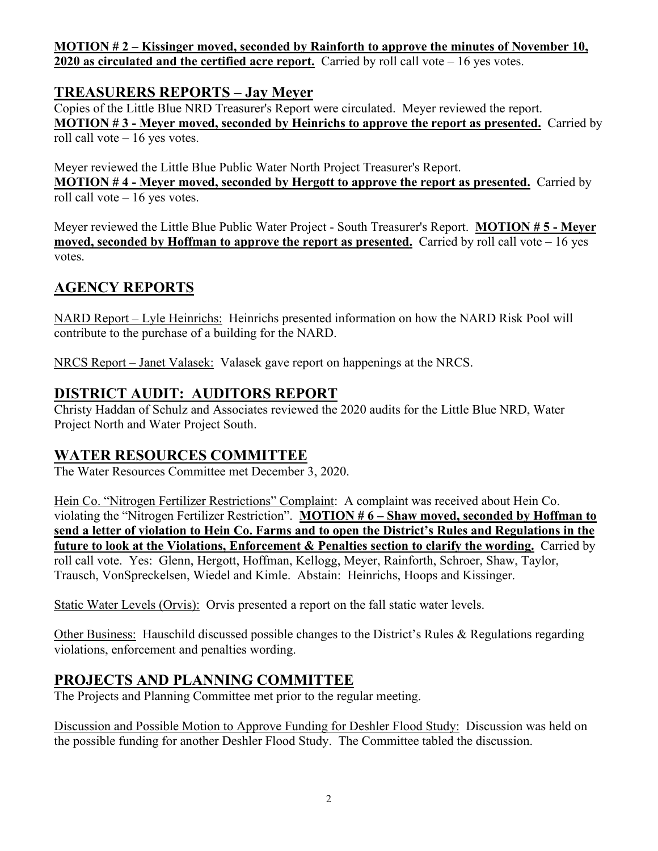**MOTION # 2 – Kissinger moved, seconded by Rainforth to approve the minutes of November 10, 2020 as circulated and the certified acre report.** Carried by roll call vote – 16 yes votes.

### **TREASURERS REPORTS – Jay Meyer**

Copies of the Little Blue NRD Treasurer's Report were circulated. Meyer reviewed the report. **MOTION # 3 - Meyer moved, seconded by Heinrichs to approve the report as presented.** Carried by roll call vote – 16 yes votes.

Meyer reviewed the Little Blue Public Water North Project Treasurer's Report. **MOTION # 4 - Meyer moved, seconded by Hergott to approve the report as presented.** Carried by roll call vote – 16 yes votes.

Meyer reviewed the Little Blue Public Water Project - South Treasurer's Report. **MOTION # 5 - Meyer moved, seconded by Hoffman to approve the report as presented.** Carried by roll call vote – 16 yes votes.

## **AGENCY REPORTS**

NARD Report – Lyle Heinrichs: Heinrichs presented information on how the NARD Risk Pool will contribute to the purchase of a building for the NARD.

NRCS Report – Janet Valasek: Valasek gave report on happenings at the NRCS.

### **DISTRICT AUDIT: AUDITORS REPORT**

Christy Haddan of Schulz and Associates reviewed the 2020 audits for the Little Blue NRD, Water Project North and Water Project South.

#### **WATER RESOURCES COMMITTEE**

The Water Resources Committee met December 3, 2020.

Hein Co. "Nitrogen Fertilizer Restrictions" Complaint: A complaint was received about Hein Co. violating the "Nitrogen Fertilizer Restriction". **MOTION # 6 – Shaw moved, seconded by Hoffman to send a letter of violation to Hein Co. Farms and to open the District's Rules and Regulations in the future to look at the Violations, Enforcement & Penalties section to clarify the wording.** Carried by roll call vote. Yes: Glenn, Hergott, Hoffman, Kellogg, Meyer, Rainforth, Schroer, Shaw, Taylor, Trausch, VonSpreckelsen, Wiedel and Kimle. Abstain: Heinrichs, Hoops and Kissinger.

Static Water Levels (Orvis): Orvis presented a report on the fall static water levels.

Other Business: Hauschild discussed possible changes to the District's Rules & Regulations regarding violations, enforcement and penalties wording.

## **PROJECTS AND PLANNING COMMITTEE**

The Projects and Planning Committee met prior to the regular meeting.

Discussion and Possible Motion to Approve Funding for Deshler Flood Study: Discussion was held on the possible funding for another Deshler Flood Study. The Committee tabled the discussion.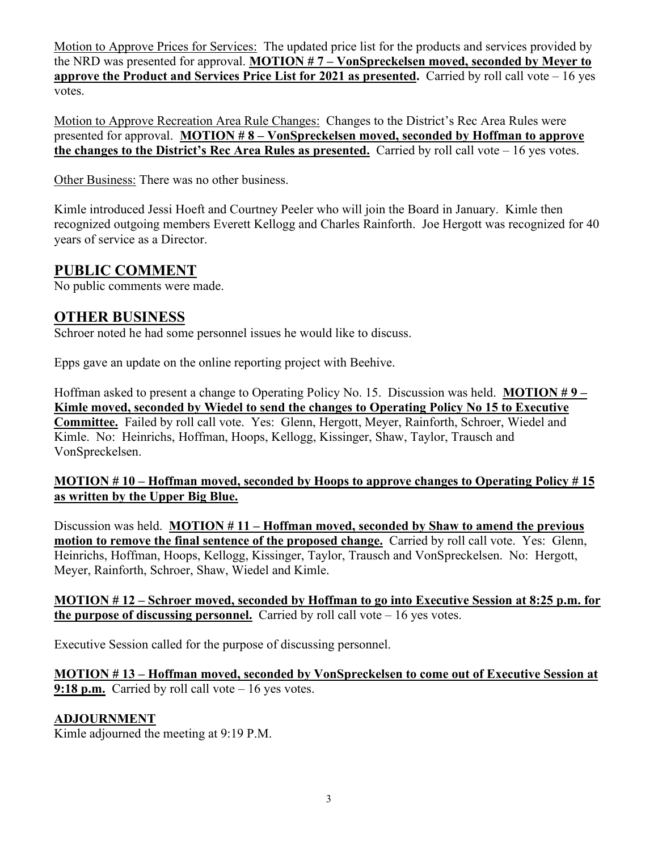Motion to Approve Prices for Services: The updated price list for the products and services provided by the NRD was presented for approval. **MOTION # 7 – VonSpreckelsen moved, seconded by Meyer to approve the Product and Services Price List for 2021 as presented.** Carried by roll call vote – 16 yes votes.

Motion to Approve Recreation Area Rule Changes: Changes to the District's Rec Area Rules were presented for approval. **MOTION # 8 – VonSpreckelsen moved, seconded by Hoffman to approve the changes to the District's Rec Area Rules as presented.** Carried by roll call vote – 16 yes votes.

Other Business: There was no other business.

Kimle introduced Jessi Hoeft and Courtney Peeler who will join the Board in January. Kimle then recognized outgoing members Everett Kellogg and Charles Rainforth. Joe Hergott was recognized for 40 years of service as a Director.

## **PUBLIC COMMENT**

No public comments were made.

#### **OTHER BUSINESS**

Schroer noted he had some personnel issues he would like to discuss.

Epps gave an update on the online reporting project with Beehive.

Hoffman asked to present a change to Operating Policy No. 15. Discussion was held. **MOTION # 9 – Kimle moved, seconded by Wiedel to send the changes to Operating Policy No 15 to Executive Committee.** Failed by roll call vote. Yes: Glenn, Hergott, Meyer, Rainforth, Schroer, Wiedel and Kimle. No: Heinrichs, Hoffman, Hoops, Kellogg, Kissinger, Shaw, Taylor, Trausch and VonSpreckelsen.

#### **MOTION # 10 – Hoffman moved, seconded by Hoops to approve changes to Operating Policy # 15 as written by the Upper Big Blue.**

Discussion was held. **MOTION # 11 – Hoffman moved, seconded by Shaw to amend the previous motion to remove the final sentence of the proposed change.** Carried by roll call vote. Yes: Glenn, Heinrichs, Hoffman, Hoops, Kellogg, Kissinger, Taylor, Trausch and VonSpreckelsen. No: Hergott, Meyer, Rainforth, Schroer, Shaw, Wiedel and Kimle.

**MOTION # 12 – Schroer moved, seconded by Hoffman to go into Executive Session at 8:25 p.m. for the purpose of discussing personnel.** Carried by roll call vote – 16 yes votes.

Executive Session called for the purpose of discussing personnel.

**MOTION # 13 – Hoffman moved, seconded by VonSpreckelsen to come out of Executive Session at 9:18 p.m.** Carried by roll call vote – 16 yes votes.

#### **ADJOURNMENT**

Kimle adjourned the meeting at 9:19 P.M.